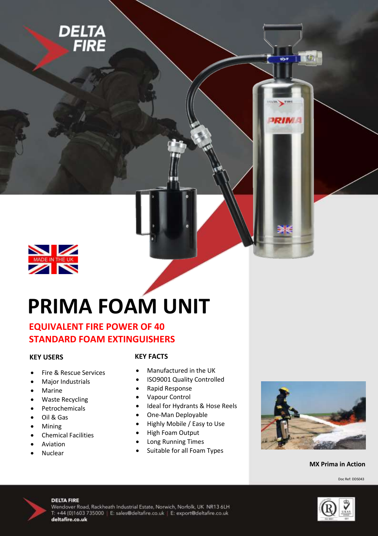



# **PRIMA FOAM UNIT**

# **EQUIVALENT FIRE POWER OF 40 STANDARD FOAM EXTINGUISHERS**

## **KEY USERS**

- Fire & Rescue Services
- Major Industrials
- Marine
- Waste Recycling
- Petrochemicals
- Oil & Gas
- Mining
- Chemical Facilities
- Aviation
- Nuclear

## **KEY FACTS**

- Manufactured in the UK
- ISO9001 Quality Controlled
- Rapid Response
- Vapour Control
- Ideal for Hydrants & Hose Reels
- One-Man Deployable
- Highly Mobile / Easy to Use
- High Foam Output
- Long Running Times
- Suitable for all Foam Types



PRIMA

## **MX Prima in Action**

Doc Ref: DDS043



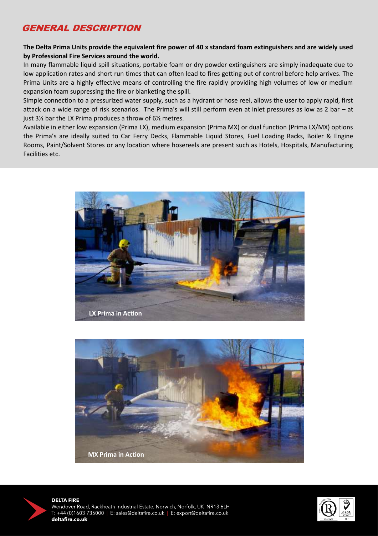# GENERAL DESCRIPTION

## **The Delta Prima Units provide the equivalent fire power of 40 x standard foam extinguishers and are widely used by Professional Fire Services around the world.**

In many flammable liquid spill situations, portable foam or dry powder extinguishers are simply inadequate due to low application rates and short run times that can often lead to fires getting out of control before help arrives. The Prima Units are a highly effective means of controlling the fire rapidly providing high volumes of low or medium expansion foam suppressing the fire or blanketing the spill.

Simple connection to a pressurized water supply, such as a hydrant or hose reel, allows the user to apply rapid, first attack on a wide range of risk scenarios. The Prima's will still perform even at inlet pressures as low as 2 bar – at just 3½ bar the LX Prima produces a throw of 6½ metres.

Available in either low expansion (Prima LX), medium expansion (Prima MX) or dual function (Prima LX/MX) options the Prima's are ideally suited to Car Ferry Decks, Flammable Liquid Stores, Fuel Loading Racks, Boiler & Engine Rooms, Paint/Solvent Stores or any location where hosereels are present such as Hotels, Hospitals, Manufacturing Facilities etc.







l

**DELTA FIRE** Wendover Road, Rackheath Industrial Estate, Norwich, Norfolk, UK NR13 6LH +44 (0)1603 735000 | E: sales@deltafire.co.uk | E: export@deltafire.co.uk deltafire.co.uk

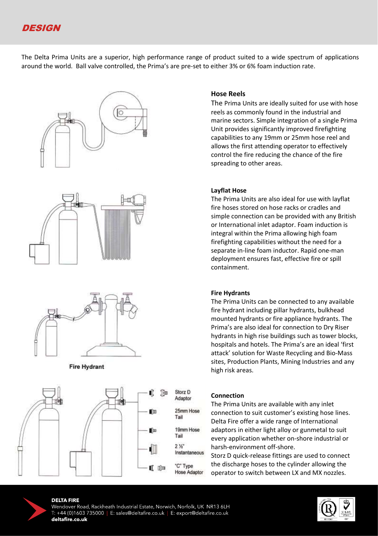

The Delta Prima Units are a superior, high performance range of product suited to a wide spectrum of applications around the world. Ball valve controlled, the Prima's are pre-set to either 3% or 6% foam induction rate.







#### **Fire Hydrant**



#### **Hose Reels**

The Prima Units are ideally suited for use with hose reels as commonly found in the industrial and marine sectors. Simple integration of a single Prima Unit provides significantly improved firefighting capabilities to any 19mm or 25mm hose reel and allows the first attending operator to effectively control the fire reducing the chance of the fire spreading to other areas.

#### **Layflat Hose**

The Prima Units are also ideal for use with layflat fire hoses stored on hose racks or cradles and simple connection can be provided with any British or International inlet adaptor. Foam induction is integral within the Prima allowing high foam firefighting capabilities without the need for a separate in-line foam inductor. Rapid one-man deployment ensures fast, effective fire or spill containment.

#### **Fire Hydrants**

The Prima Units can be connected to any available fire hydrant including pillar hydrants, bulkhead mounted hydrants or fire appliance hydrants. The Prima's are also ideal for connection to Dry Riser hydrants in high rise buildings such as tower blocks, hospitals and hotels. The Prima's are an ideal 'first attack' solution for Waste Recycling and Bio-Mass sites, Production Plants, Mining Industries and any high risk areas.

#### **Connection**

The Prima Units are available with any inlet connection to suit customer's existing hose lines. Delta Fire offer a wide range of International adaptors in either light alloy or gunmetal to suit every application whether on-shore industrial or harsh-environment off-shore.

Storz D quick-release fittings are used to connect the discharge hoses to the cylinder allowing the operator to switch between LX and MX nozzles.



#### **DELTA FIRE**

Wendover Road, Rackheath Industrial Estate, Norwich, Norfolk, UK NR13 6LH +44 (0)1603 735000 | E: sales@deltafire.co.uk | E: export@deltafire.co.uk deltafire.co.uk